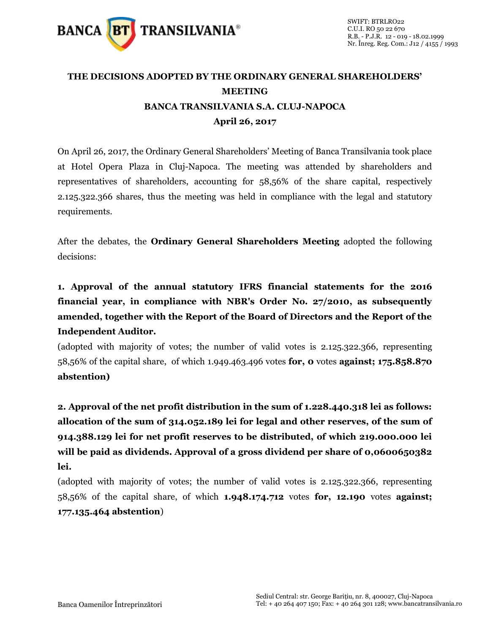

## **THE DECISIONS ADOPTED BY THE ORDINARY GENERAL SHAREHOLDERS' MEETING BANCA TRANSILVANIA S.A. CLUJ-NAPOCA April 26, 2017**

On April 26, 2017, the Ordinary General Shareholders' Meeting of Banca Transilvania took place at Hotel Opera Plaza in Cluj-Napoca. The meeting was attended by shareholders and representatives of shareholders, accounting for 58,56% of the share capital, respectively 2.125.322.366 shares, thus the meeting was held in compliance with the legal and statutory requirements.

After the debates, the **Ordinary General Shareholders Meeting** adopted the following decisions:

**1. Approval of the annual statutory IFRS financial statements for the 2016 financial year, in compliance with NBR's Order No. 27/2010, as subsequently amended, together with the Report of the Board of Directors and the Report of the Independent Auditor.** 

(adopted with majority of votes; the number of valid votes is 2.125.322.366, representing 58,56% of the capital share, of which 1.949.463.496 votes **for, 0** votes **against; 175.858.870 abstention)**

**2. Approval of the net profit distribution in the sum of 1.228.440.318 lei as follows: allocation of the sum of 314.052.189 lei for legal and other reserves, of the sum of 914.388.129 lei for net profit reserves to be distributed, of which 219.000.000 lei will be paid as dividends. Approval of a gross dividend per share of 0,0600650382 lei.** 

(adopted with majority of votes; the number of valid votes is 2.125.322.366, representing 58,56% of the capital share, of which **1.948.174.712** votes **for, 12.190** votes **against; 177.135.464 abstention**)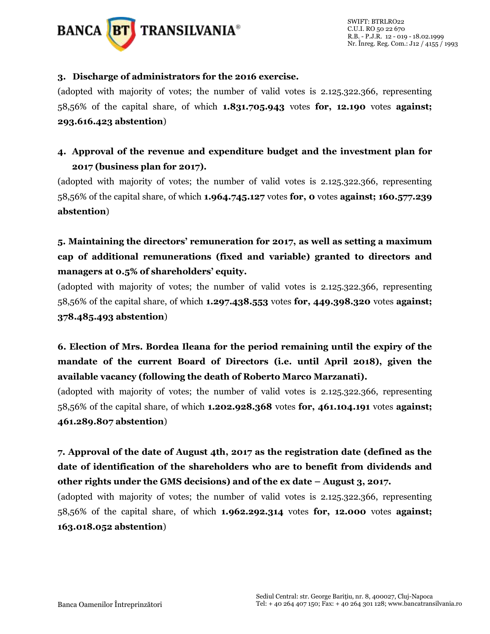

## **3. Discharge of administrators for the 2016 exercise.**

(adopted with majority of votes; the number of valid votes is 2.125.322.366, representing 58,56% of the capital share, of which **1.831.705.943** votes **for, 12.190** votes **against; 293.616.423 abstention**)

## **4. Approval of the revenue and expenditure budget and the investment plan for 2017 (business plan for 2017).**

(adopted with majority of votes; the number of valid votes is 2.125.322.366, representing 58,56% of the capital share, of which **1.964.745.127** votes **for, 0** votes **against; 160.577.239 abstention**)

## **5. Maintaining the directors' remuneration for 2017, as well as setting a maximum cap of additional remunerations (fixed and variable) granted to directors and managers at 0.5% of shareholders' equity.**

(adopted with majority of votes; the number of valid votes is 2.125.322.366, representing 58,56% of the capital share, of which **1.297.438.553** votes **for, 449.398.320** votes **against; 378.485.493 abstention**)

**6. Election of Mrs. Bordea Ileana for the period remaining until the expiry of the mandate of the current Board of Directors (i.e. until April 2018), given the available vacancy (following the death of Roberto Marco Marzanati).**

(adopted with majority of votes; the number of valid votes is 2.125.322.366, representing 58,56% of the capital share, of which **1.202.928.368** votes **for, 461.104.191** votes **against; 461.289.807 abstention**)

**7. Approval of the date of August 4th, 2017 as the registration date (defined as the date of identification of the shareholders who are to benefit from dividends and other rights under the GMS decisions) and of the ex date – August 3, 2017.**

(adopted with majority of votes; the number of valid votes is 2.125.322.366, representing 58,56% of the capital share, of which **1.962.292.314** votes **for, 12.000** votes **against; 163.018.052 abstention**)